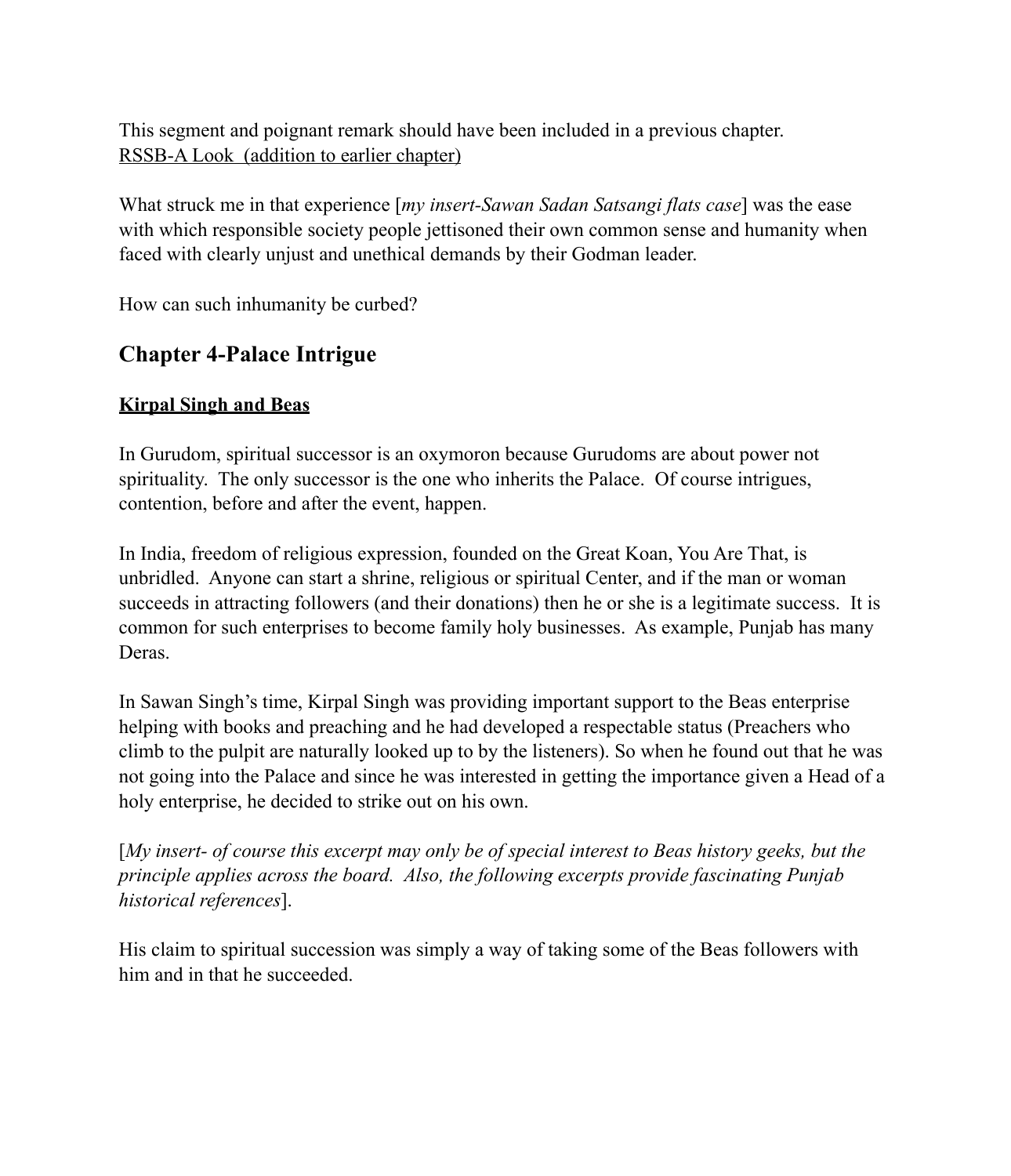This segment and poignant remark should have been included in a previous chapter. RSSB-A Look (addition to earlier chapter)

What struck me in that experience [*my insert-Sawan Sadan Satsangi flats case*] was the ease with which responsible society people jettisoned their own common sense and humanity when faced with clearly unjust and unethical demands by their Godman leader.

How can such inhumanity be curbed?

# **Chapter 4-Palace Intrigue**

### **Kirpal Singh and Beas**

In Gurudom, spiritual successor is an oxymoron because Gurudoms are about power not spirituality. The only successor is the one who inherits the Palace. Of course intrigues, contention, before and after the event, happen.

In India, freedom of religious expression, founded on the Great Koan, You Are That, is unbridled. Anyone can start a shrine, religious or spiritual Center, and if the man or woman succeeds in attracting followers (and their donations) then he or she is a legitimate success. It is common for such enterprises to become family holy businesses. As example, Punjab has many Deras.

In Sawan Singh's time, Kirpal Singh was providing important support to the Beas enterprise helping with books and preaching and he had developed a respectable status (Preachers who climb to the pulpit are naturally looked up to by the listeners). So when he found out that he was not going into the Palace and since he was interested in getting the importance given a Head of a holy enterprise, he decided to strike out on his own.

[*My insert- of course this excerpt may only be of special interest to Beas history geeks, but the principle applies across the board. Also, the following excerpts provide fascinating Punjab historical references*].

His claim to spiritual succession was simply a way of taking some of the Beas followers with him and in that he succeeded.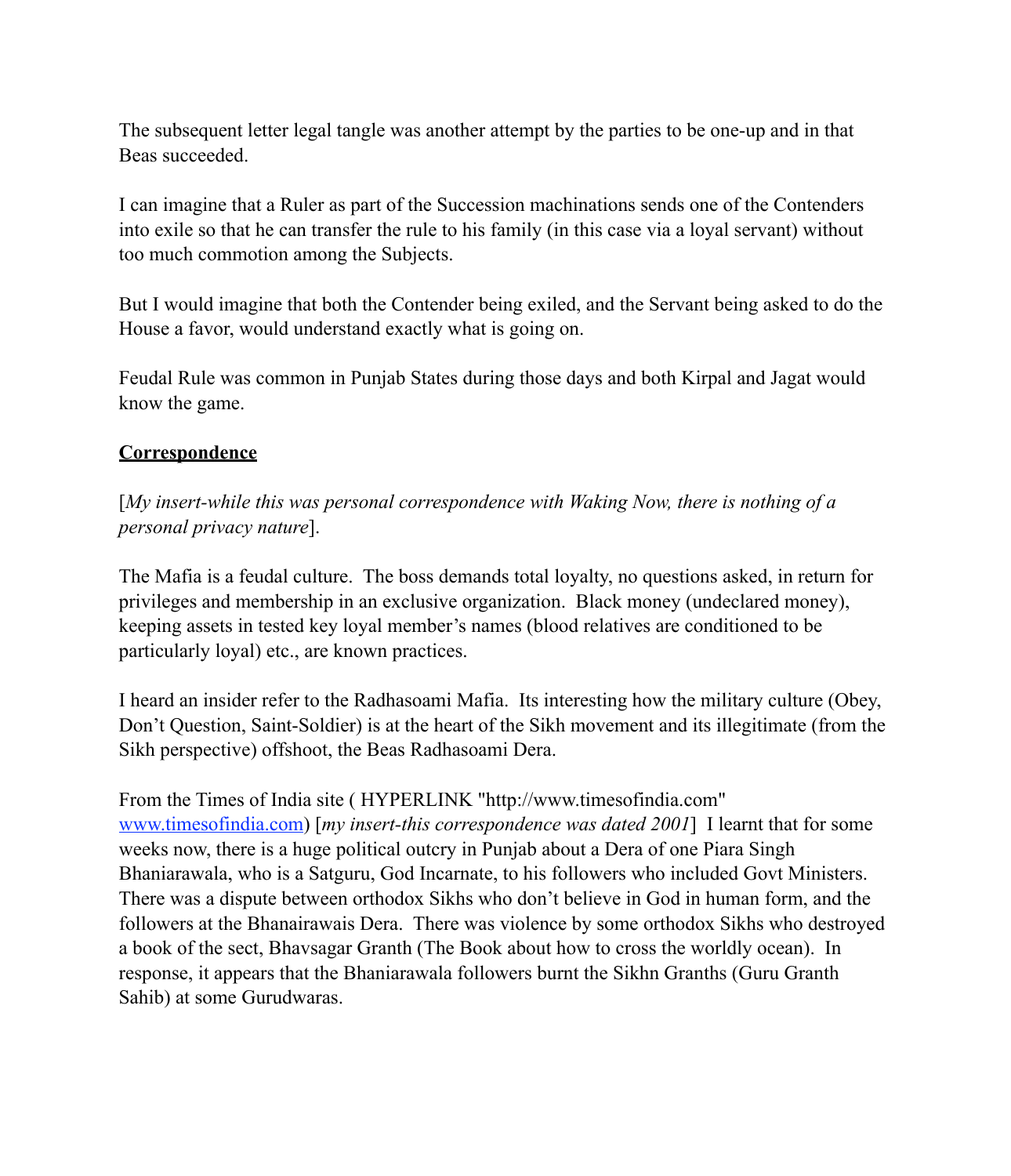The subsequent letter legal tangle was another attempt by the parties to be one-up and in that Beas succeeded.

I can imagine that a Ruler as part of the Succession machinations sends one of the Contenders into exile so that he can transfer the rule to his family (in this case via a loyal servant) without too much commotion among the Subjects.

But I would imagine that both the Contender being exiled, and the Servant being asked to do the House a favor, would understand exactly what is going on.

Feudal Rule was common in Punjab States during those days and both Kirpal and Jagat would know the game.

### **Correspondence**

[*My insert-while this was personal correspondence with Waking Now, there is nothing of a personal privacy nature*].

The Mafia is a feudal culture. The boss demands total loyalty, no questions asked, in return for privileges and membership in an exclusive organization. Black money (undeclared money), keeping assets in tested key loyal member's names (blood relatives are conditioned to be particularly loyal) etc., are known practices.

I heard an insider refer to the Radhasoami Mafia. Its interesting how the military culture (Obey, Don't Question, Saint-Soldier) is at the heart of the Sikh movement and its illegitimate (from the Sikh perspective) offshoot, the Beas Radhasoami Dera.

From the Times of India site ( HYPERLINK "http://www.timesofindia.com" www.timesofindia.com) [*my insert-this correspondence was dated 2001*] I learnt that for some weeks now, there is a huge political outcry in Punjab about a Dera of one Piara Singh Bhaniarawala, who is a Satguru, God Incarnate, to his followers who included Govt Ministers. There was a dispute between orthodox Sikhs who don't believe in God in human form, and the followers at the Bhanairawais Dera. There was violence by some orthodox Sikhs who destroyed a book of the sect, Bhavsagar Granth (The Book about how to cross the worldly ocean). In response, it appears that the Bhaniarawala followers burnt the Sikhn Granths (Guru Granth Sahib) at some Gurudwaras.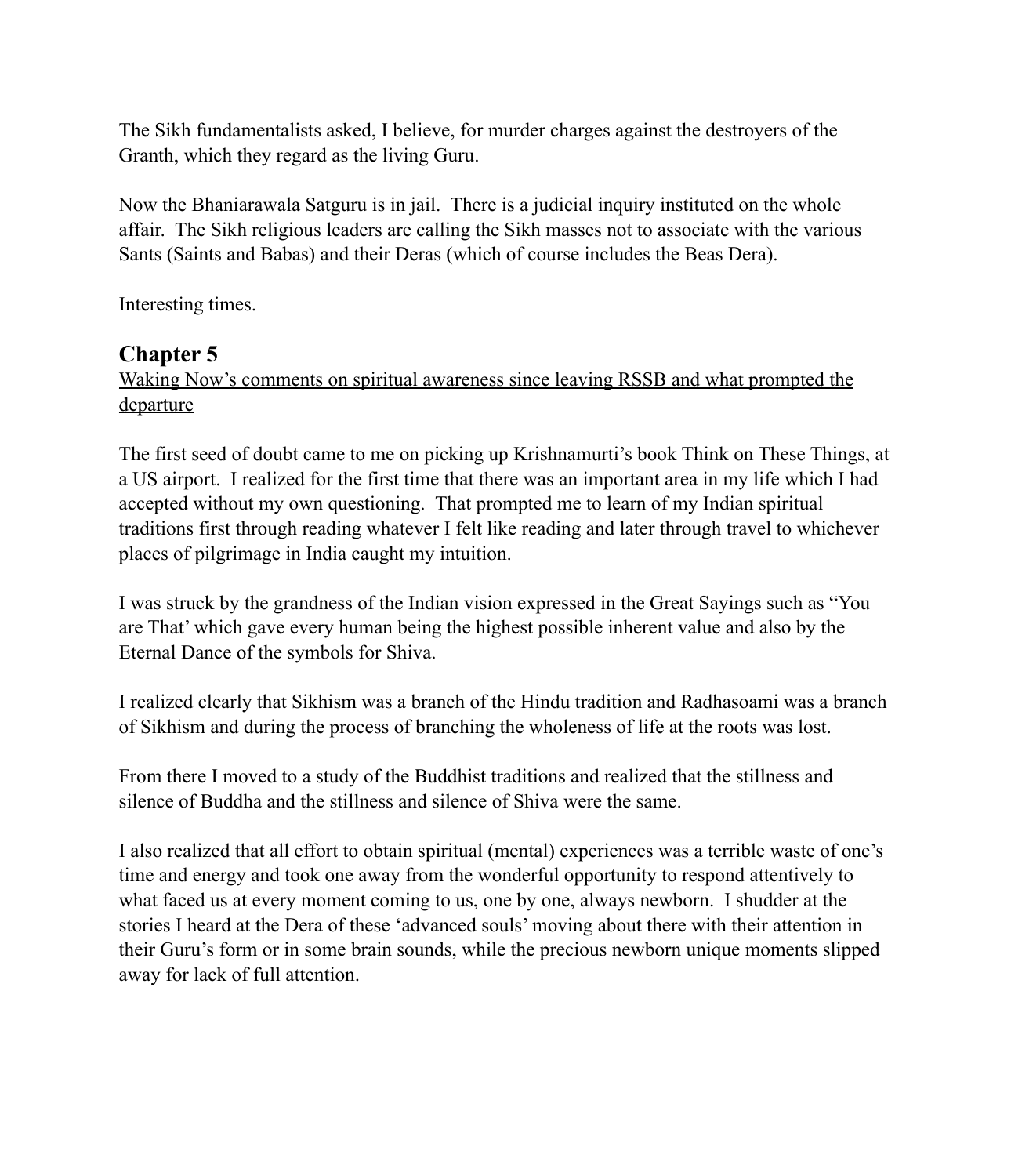The Sikh fundamentalists asked, I believe, for murder charges against the destroyers of the Granth, which they regard as the living Guru.

Now the Bhaniarawala Satguru is in jail. There is a judicial inquiry instituted on the whole affair. The Sikh religious leaders are calling the Sikh masses not to associate with the various Sants (Saints and Babas) and their Deras (which of course includes the Beas Dera).

Interesting times.

## **Chapter 5**

Waking Now's comments on spiritual awareness since leaving RSSB and what prompted the departure

The first seed of doubt came to me on picking up Krishnamurti's book Think on These Things, at a US airport. I realized for the first time that there was an important area in my life which I had accepted without my own questioning. That prompted me to learn of my Indian spiritual traditions first through reading whatever I felt like reading and later through travel to whichever places of pilgrimage in India caught my intuition.

I was struck by the grandness of the Indian vision expressed in the Great Sayings such as "You are That' which gave every human being the highest possible inherent value and also by the Eternal Dance of the symbols for Shiva.

I realized clearly that Sikhism was a branch of the Hindu tradition and Radhasoami was a branch of Sikhism and during the process of branching the wholeness of life at the roots was lost.

From there I moved to a study of the Buddhist traditions and realized that the stillness and silence of Buddha and the stillness and silence of Shiva were the same.

I also realized that all effort to obtain spiritual (mental) experiences was a terrible waste of one's time and energy and took one away from the wonderful opportunity to respond attentively to what faced us at every moment coming to us, one by one, always newborn. I shudder at the stories I heard at the Dera of these 'advanced souls' moving about there with their attention in their Guru's form or in some brain sounds, while the precious newborn unique moments slipped away for lack of full attention.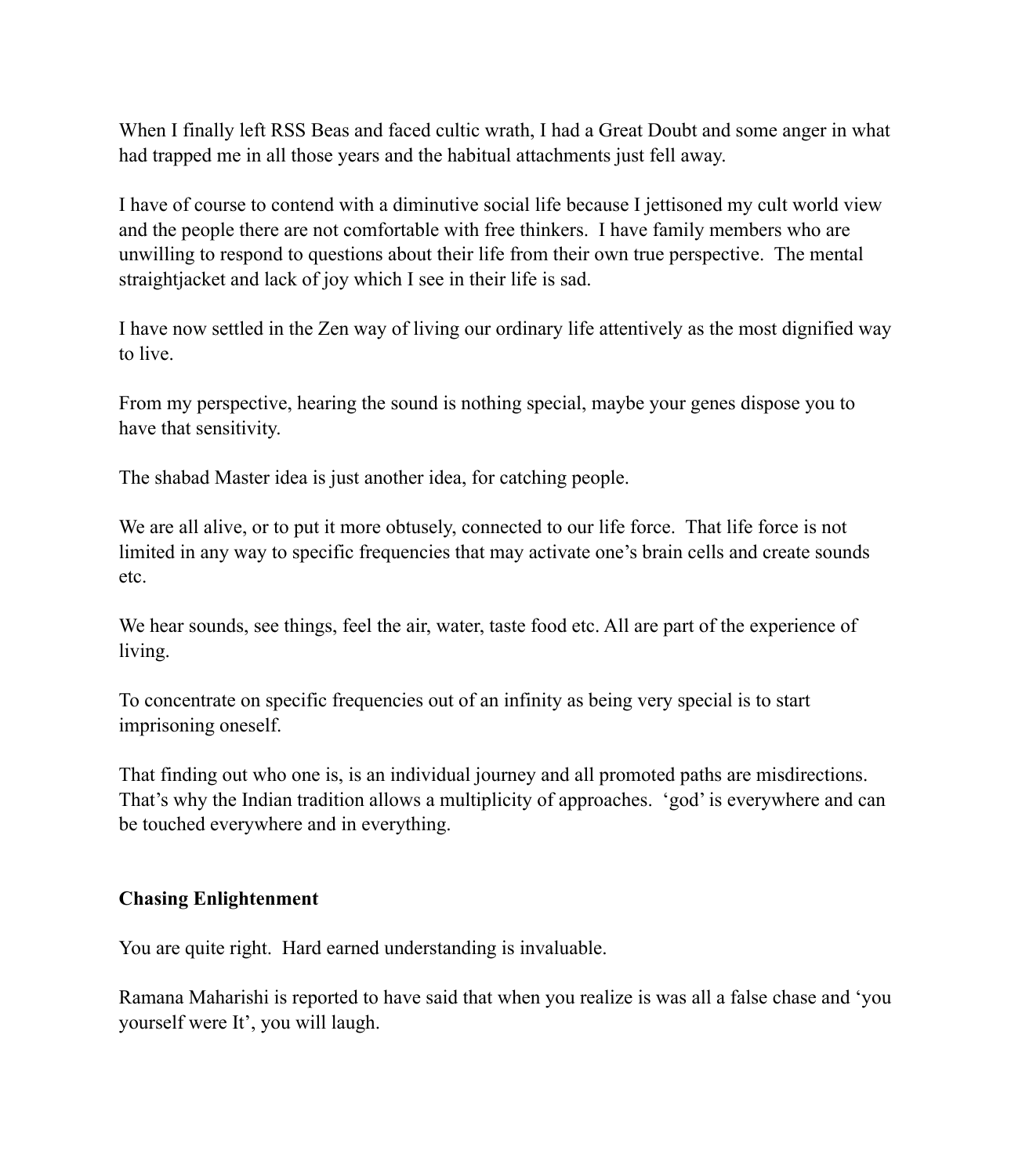When I finally left RSS Beas and faced cultic wrath, I had a Great Doubt and some anger in what had trapped me in all those years and the habitual attachments just fell away.

I have of course to contend with a diminutive social life because I jettisoned my cult world view and the people there are not comfortable with free thinkers. I have family members who are unwilling to respond to questions about their life from their own true perspective. The mental straightjacket and lack of joy which I see in their life is sad.

I have now settled in the Zen way of living our ordinary life attentively as the most dignified way to live.

From my perspective, hearing the sound is nothing special, maybe your genes dispose you to have that sensitivity.

The shabad Master idea is just another idea, for catching people.

We are all alive, or to put it more obtusely, connected to our life force. That life force is not limited in any way to specific frequencies that may activate one's brain cells and create sounds etc.

We hear sounds, see things, feel the air, water, taste food etc. All are part of the experience of living.

To concentrate on specific frequencies out of an infinity as being very special is to start imprisoning oneself.

That finding out who one is, is an individual journey and all promoted paths are misdirections. That's why the Indian tradition allows a multiplicity of approaches. 'god' is everywhere and can be touched everywhere and in everything.

#### **Chasing Enlightenment**

You are quite right. Hard earned understanding is invaluable.

Ramana Maharishi is reported to have said that when you realize is was all a false chase and 'you yourself were It', you will laugh.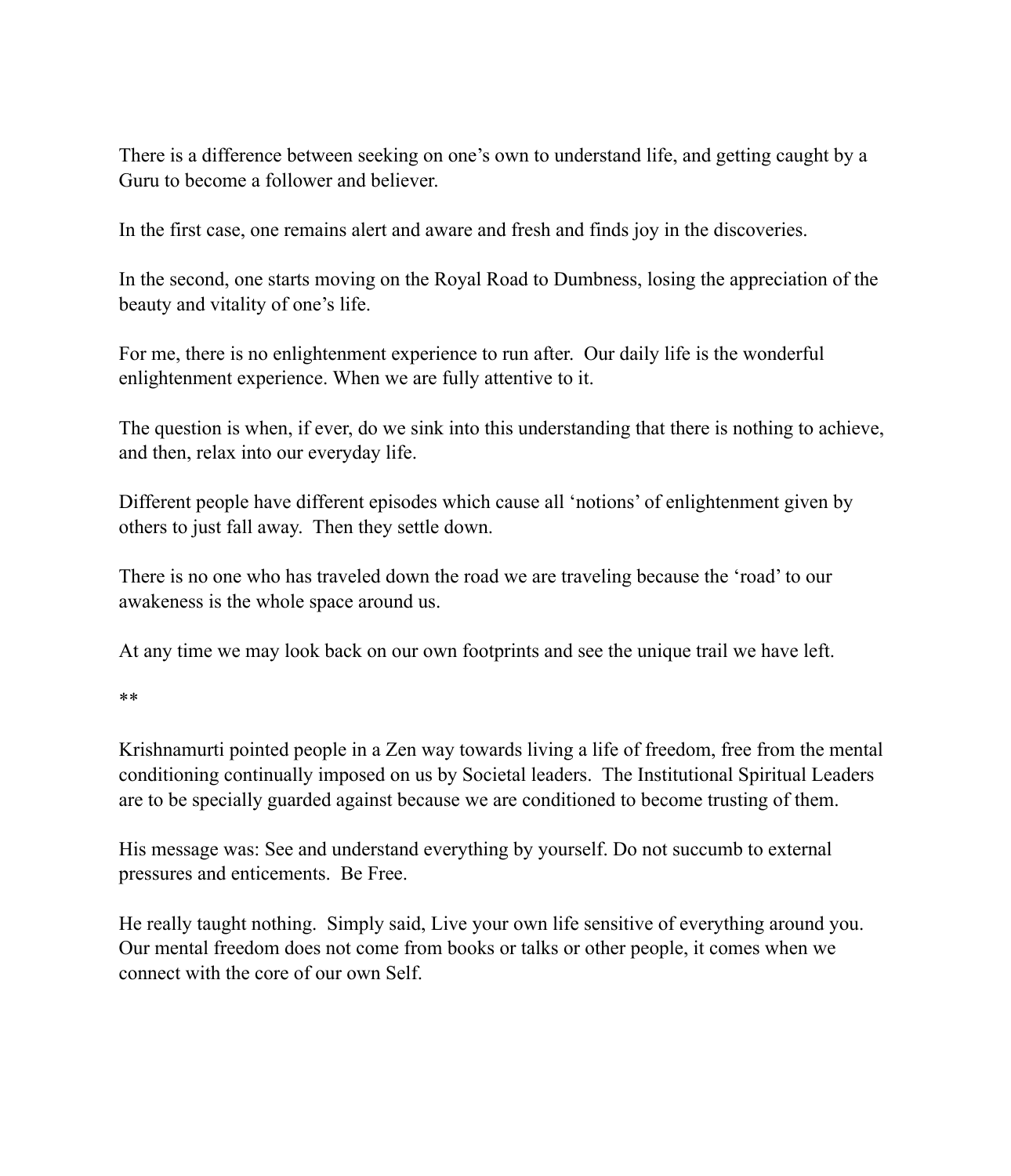There is a difference between seeking on one's own to understand life, and getting caught by a Guru to become a follower and believer.

In the first case, one remains alert and aware and fresh and finds joy in the discoveries.

In the second, one starts moving on the Royal Road to Dumbness, losing the appreciation of the beauty and vitality of one's life.

For me, there is no enlightenment experience to run after. Our daily life is the wonderful enlightenment experience. When we are fully attentive to it.

The question is when, if ever, do we sink into this understanding that there is nothing to achieve, and then, relax into our everyday life.

Different people have different episodes which cause all 'notions' of enlightenment given by others to just fall away. Then they settle down.

There is no one who has traveled down the road we are traveling because the 'road' to our awakeness is the whole space around us.

At any time we may look back on our own footprints and see the unique trail we have left.

\*\*

Krishnamurti pointed people in a Zen way towards living a life of freedom, free from the mental conditioning continually imposed on us by Societal leaders. The Institutional Spiritual Leaders are to be specially guarded against because we are conditioned to become trusting of them.

His message was: See and understand everything by yourself. Do not succumb to external pressures and enticements. Be Free.

He really taught nothing. Simply said, Live your own life sensitive of everything around you. Our mental freedom does not come from books or talks or other people, it comes when we connect with the core of our own Self.